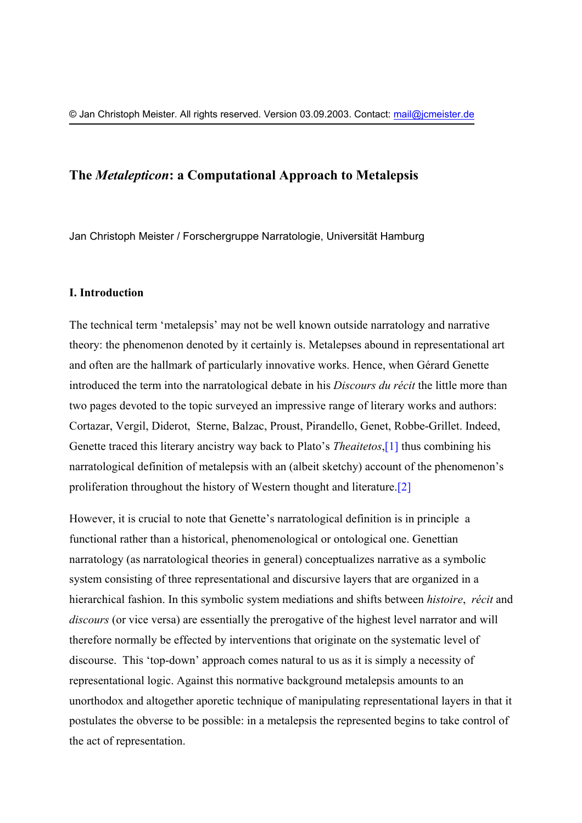## **The** *Metalepticon***: a Computational Approach to Metalepsis**

Jan Christoph Meister / Forschergruppe Narratologie, Universität Hamburg

## **I. Introduction**

The technical term 'metalepsis' may not be well known outside narratology and narrative theory: the phenomenon denoted by it certainly is. Metalepses abound in representational art and often are the hallmark of particularly innovative works. Hence, when Gérard Genette introduced the term into the narratological debate in his *Discours du récit* the little more than two pages devoted to the topic surveyed an impressive range of literary works and authors: Cortazar, Vergil, Diderot, Sterne, Balzac, Proust, Pirandello, Genet, Robbe-Grillet. Indeed, Genette traced this literary ancistry way back to Plato's *Theaitetos*,[\[1\]](#page-19-0) thus combining his narratological definition of metalepsis with an (albeit sketchy) account of the phenomenon's proliferation throughout the history of Western thought and literature.[\[2\]](#page-19-1)

However, it is crucial to note that Genette's narratological definition is in principle a functional rather than a historical, phenomenological or ontological one. Genettian narratology (as narratological theories in general) conceptualizes narrative as a symbolic system consisting of three representational and discursive layers that are organized in a hierarchical fashion. In this symbolic system mediations and shifts between *histoire*, *récit* and *discours* (or vice versa) are essentially the prerogative of the highest level narrator and will therefore normally be effected by interventions that originate on the systematic level of discourse. This 'top-down' approach comes natural to us as it is simply a necessity of representational logic. Against this normative background metalepsis amounts to an unorthodox and altogether aporetic technique of manipulating representational layers in that it postulates the obverse to be possible: in a metalepsis the represented begins to take control of the act of representation.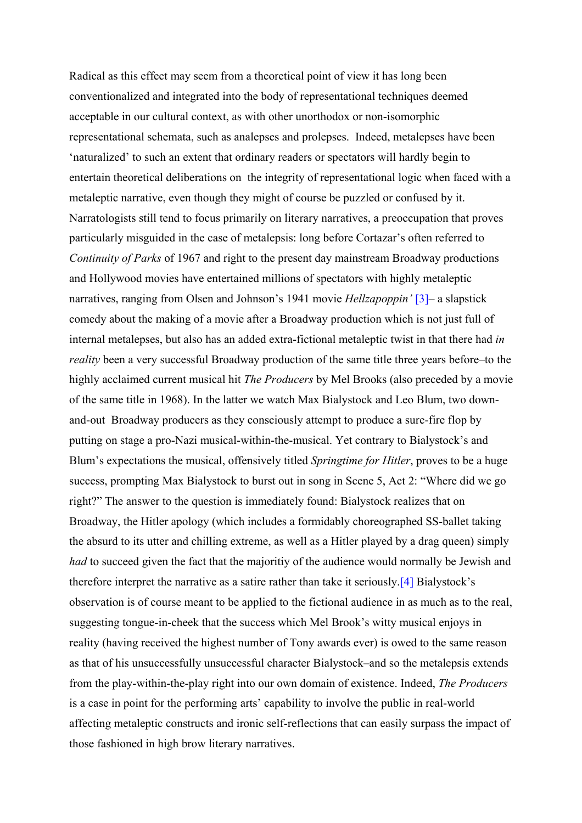Radical as this effect may seem from a theoretical point of view it has long been conventionalized and integrated into the body of representational techniques deemed acceptable in our cultural context, as with other unorthodox or non-isomorphic representational schemata, such as analepses and prolepses. Indeed, metalepses have been 'naturalized' to such an extent that ordinary readers or spectators will hardly begin to entertain theoretical deliberations on the integrity of representational logic when faced with a metaleptic narrative, even though they might of course be puzzled or confused by it. Narratologists still tend to focus primarily on literary narratives, a preoccupation that proves particularly misguided in the case of metalepsis: long before Cortazar's often referred to *Continuity of Parks* of 1967 and right to the present day mainstream Broadway productions and Hollywood movies have entertained millions of spectators with highly metaleptic narratives, ranging from Olsen and Johnson's 1941 movie *Hellzapoppin'* [\[3\]](#page-19-2)– a slapstick comedy about the making of a movie after a Broadway production which is not just full of internal metalepses, but also has an added extra-fictional metaleptic twist in that there had *in reality* been a very successful Broadway production of the same title three years before–to the highly acclaimed current musical hit *The Producers* by Mel Brooks (also preceded by a movie of the same title in 1968). In the latter we watch Max Bialystock and Leo Blum, two downand-out Broadway producers as they consciously attempt to produce a sure-fire flop by putting on stage a pro-Nazi musical-within-the-musical. Yet contrary to Bialystock's and Blum's expectations the musical, offensively titled *Springtime for Hitler*, proves to be a huge success, prompting Max Bialystock to burst out in song in Scene 5, Act 2: "Where did we go right?" The answer to the question is immediately found: Bialystock realizes that on Broadway, the Hitler apology (which includes a formidably choreographed SS-ballet taking the absurd to its utter and chilling extreme, as well as a Hitler played by a drag queen) simply *had* to succeed given the fact that the majoritiy of the audience would normally be Jewish and therefore interpret the narrative as a satire rather than take it seriously.[\[4\]](#page-19-3) Bialystock's observation is of course meant to be applied to the fictional audience in as much as to the real, suggesting tongue-in-cheek that the success which Mel Brook's witty musical enjoys in reality (having received the highest number of Tony awards ever) is owed to the same reason as that of his unsuccessfully unsuccessful character Bialystock–and so the metalepsis extends from the play-within-the-play right into our own domain of existence. Indeed, *The Producers* is a case in point for the performing arts' capability to involve the public in real-world affecting metaleptic constructs and ironic self-reflections that can easily surpass the impact of those fashioned in high brow literary narratives.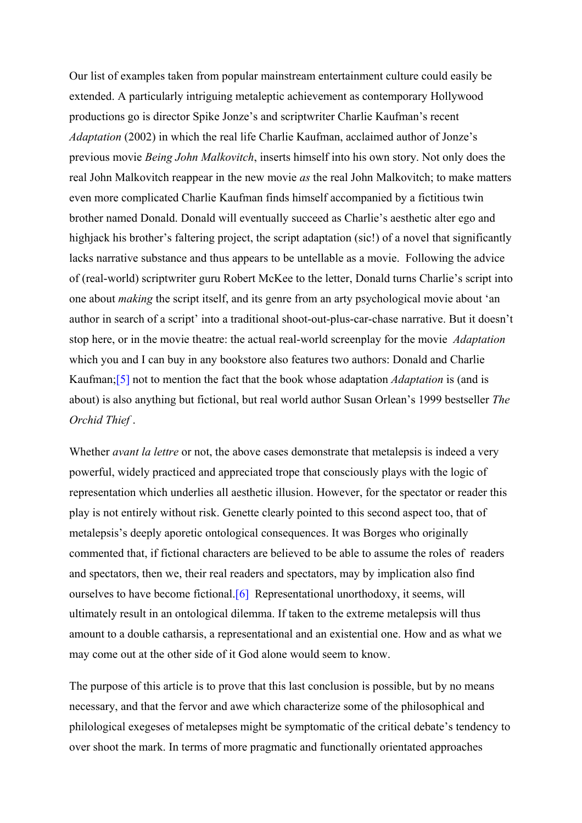Our list of examples taken from popular mainstream entertainment culture could easily be extended. A particularly intriguing metaleptic achievement as contemporary Hollywood productions go is director Spike Jonze's and scriptwriter Charlie Kaufman's recent *Adaptation* (2002) in which the real life Charlie Kaufman, acclaimed author of Jonze's previous movie *Being John Malkovitch*, inserts himself into his own story. Not only does the real John Malkovitch reappear in the new movie *as* the real John Malkovitch; to make matters even more complicated Charlie Kaufman finds himself accompanied by a fictitious twin brother named Donald. Donald will eventually succeed as Charlie's aesthetic alter ego and highjack his brother's faltering project, the script adaptation (sic!) of a novel that significantly lacks narrative substance and thus appears to be untellable as a movie. Following the advice of (real-world) scriptwriter guru Robert McKee to the letter, Donald turns Charlie's script into one about *making* the script itself, and its genre from an arty psychological movie about 'an author in search of a script' into a traditional shoot-out-plus-car-chase narrative. But it doesn't stop here, or in the movie theatre: the actual real-world screenplay for the movie *Adaptation* which you and I can buy in any bookstore also features two authors: Donald and Charlie Kaufman;[\[5\]](#page-19-4) not to mention the fact that the book whose adaptation *Adaptation* is (and is about) is also anything but fictional, but real world author Susan Orlean's 1999 bestseller *The Orchid Thief* .

Whether *avant la lettre* or not, the above cases demonstrate that metalepsis is indeed a very powerful, widely practiced and appreciated trope that consciously plays with the logic of representation which underlies all aesthetic illusion. However, for the spectator or reader this play is not entirely without risk. Genette clearly pointed to this second aspect too, that of metalepsis's deeply aporetic ontological consequences. It was Borges who originally commented that, if fictional characters are believed to be able to assume the roles of readers and spectators, then we, their real readers and spectators, may by implication also find ourselves to have become fictional.[[6\]](#page-19-5) Representational unorthodoxy, it seems, will ultimately result in an ontological dilemma. If taken to the extreme metalepsis will thus amount to a double catharsis, a representational and an existential one. How and as what we may come out at the other side of it God alone would seem to know.

The purpose of this article is to prove that this last conclusion is possible, but by no means necessary, and that the fervor and awe which characterize some of the philosophical and philological exegeses of metalepses might be symptomatic of the critical debate's tendency to over shoot the mark. In terms of more pragmatic and functionally orientated approaches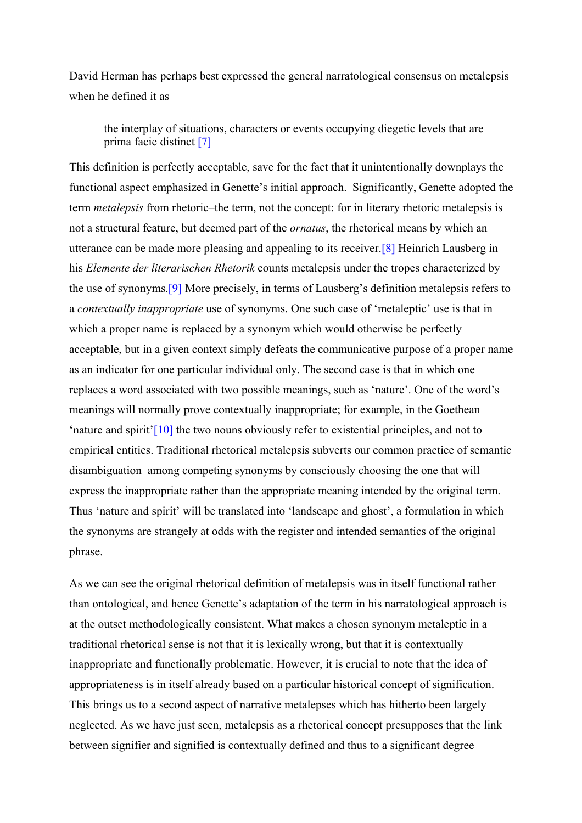David Herman has perhaps best expressed the general narratological consensus on metalepsis when he defined it as

the interplay of situations, characters or events occupying diegetic levels that are prima facie distinct [\[7\]](#page-19-6)

This definition is perfectly acceptable, save for the fact that it unintentionally downplays the functional aspect emphasized in Genette's initial approach. Significantly, Genette adopted the term *metalepsis* from rhetoric–the term, not the concept: for in literary rhetoric metalepsis is not a structural feature, but deemed part of the *ornatus*, the rhetorical means by which an utterance can be made more pleasing and appealing to its receiver.[\[8\]](#page-19-7) Heinrich Lausberg in his *Elemente der literarischen Rhetorik* counts metalepsis under the tropes characterized by the use of synonyms.[\[9\]](#page-19-8) More precisely, in terms of Lausberg's definition metalepsis refers to a *contextually inappropriate* use of synonyms. One such case of 'metaleptic' use is that in which a proper name is replaced by a synonym which would otherwise be perfectly acceptable, but in a given context simply defeats the communicative purpose of a proper name as an indicator for one particular individual only. The second case is that in which one replaces a word associated with two possible meanings, such as 'nature'. One of the word's meanings will normally prove contextually inappropriate; for example, in the Goethean 'nature and spirit'[\[10\]](#page-19-9) the two nouns obviously refer to existential principles, and not to empirical entities. Traditional rhetorical metalepsis subverts our common practice of semantic disambiguation among competing synonyms by consciously choosing the one that will express the inappropriate rather than the appropriate meaning intended by the original term. Thus 'nature and spirit' will be translated into 'landscape and ghost', a formulation in which the synonyms are strangely at odds with the register and intended semantics of the original phrase.

As we can see the original rhetorical definition of metalepsis was in itself functional rather than ontological, and hence Genette's adaptation of the term in his narratological approach is at the outset methodologically consistent. What makes a chosen synonym metaleptic in a traditional rhetorical sense is not that it is lexically wrong, but that it is contextually inappropriate and functionally problematic. However, it is crucial to note that the idea of appropriateness is in itself already based on a particular historical concept of signification. This brings us to a second aspect of narrative metalepses which has hitherto been largely neglected. As we have just seen, metalepsis as a rhetorical concept presupposes that the link between signifier and signified is contextually defined and thus to a significant degree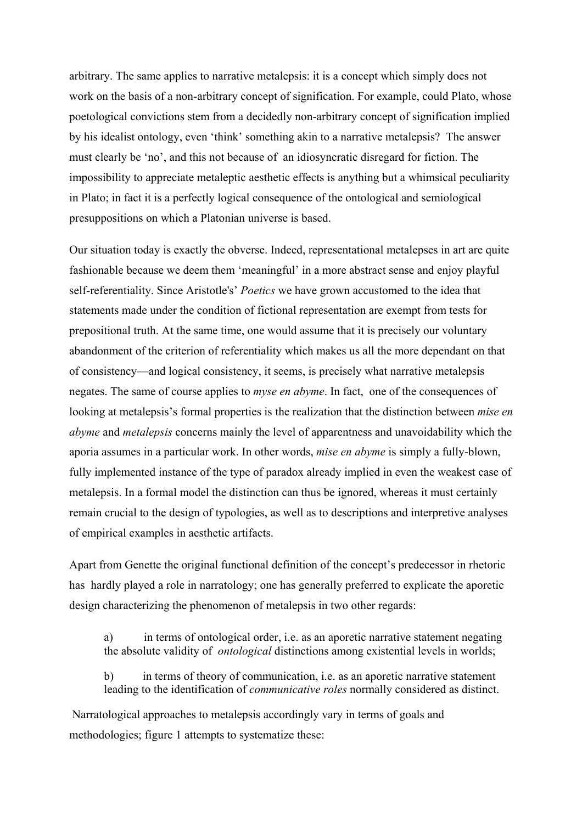arbitrary. The same applies to narrative metalepsis: it is a concept which simply does not work on the basis of a non-arbitrary concept of signification. For example, could Plato, whose poetological convictions stem from a decidedly non-arbitrary concept of signification implied by his idealist ontology, even 'think' something akin to a narrative metalepsis? The answer must clearly be 'no', and this not because of an idiosyncratic disregard for fiction. The impossibility to appreciate metaleptic aesthetic effects is anything but a whimsical peculiarity in Plato; in fact it is a perfectly logical consequence of the ontological and semiological presuppositions on which a Platonian universe is based.

Our situation today is exactly the obverse. Indeed, representational metalepses in art are quite fashionable because we deem them 'meaningful' in a more abstract sense and enjoy playful self-referentiality. Since Aristotle's' *Poetics* we have grown accustomed to the idea that statements made under the condition of fictional representation are exempt from tests for prepositional truth. At the same time, one would assume that it is precisely our voluntary abandonment of the criterion of referentiality which makes us all the more dependant on that of consistency—and logical consistency, it seems, is precisely what narrative metalepsis negates. The same of course applies to *myse en abyme*. In fact, one of the consequences of looking at metalepsis's formal properties is the realization that the distinction between *mise en abyme* and *metalepsis* concerns mainly the level of apparentness and unavoidability which the aporia assumes in a particular work. In other words, *mise en abyme* is simply a fully-blown, fully implemented instance of the type of paradox already implied in even the weakest case of metalepsis. In a formal model the distinction can thus be ignored, whereas it must certainly remain crucial to the design of typologies, as well as to descriptions and interpretive analyses of empirical examples in aesthetic artifacts.

Apart from Genette the original functional definition of the concept's predecessor in rhetoric has hardly played a role in narratology; one has generally preferred to explicate the aporetic design characterizing the phenomenon of metalepsis in two other regards:

a) in terms of ontological order, i.e. as an aporetic narrative statement negating the absolute validity of *ontological* distinctions among existential levels in worlds;

b) in terms of theory of communication, i.e. as an aporetic narrative statement leading to the identification of *communicative roles* normally considered as distinct.

 Narratological approaches to metalepsis accordingly vary in terms of goals and methodologies; figure 1 attempts to systematize these: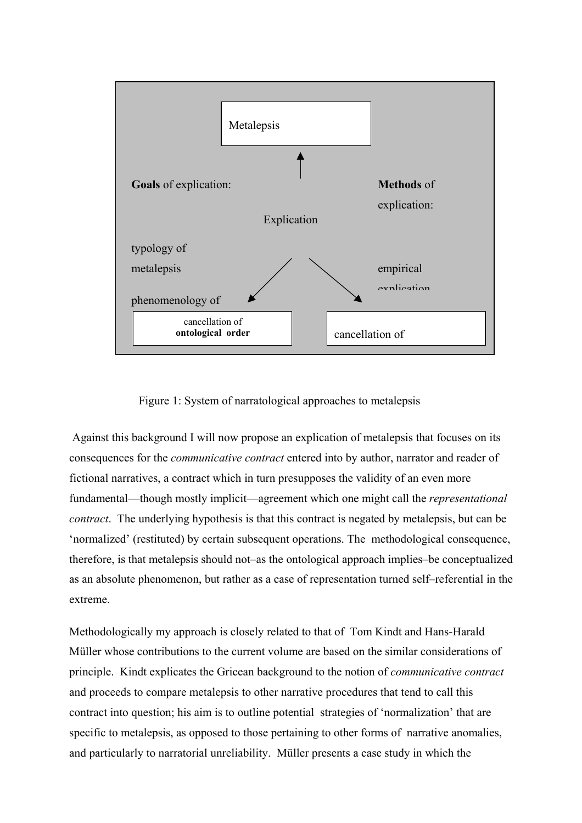

Figure 1: System of narratological approaches to metalepsis

 Against this background I will now propose an explication of metalepsis that focuses on its consequences for the *communicative contract* entered into by author, narrator and reader of fictional narratives, a contract which in turn presupposes the validity of an even more fundamental—though mostly implicit—agreement which one might call the *representational contract*. The underlying hypothesis is that this contract is negated by metalepsis, but can be 'normalized' (restituted) by certain subsequent operations. The methodological consequence, therefore, is that metalepsis should not–as the ontological approach implies–be conceptualized as an absolute phenomenon, but rather as a case of representation turned self–referential in the extreme.

Methodologically my approach is closely related to that of Tom Kindt and Hans-Harald Müller whose contributions to the current volume are based on the similar considerations of principle. Kindt explicates the Gricean background to the notion of *communicative contract* and proceeds to compare metalepsis to other narrative procedures that tend to call this contract into question; his aim is to outline potential strategies of 'normalization' that are specific to metalepsis, as opposed to those pertaining to other forms of narrative anomalies, and particularly to narratorial unreliability. Müller presents a case study in which the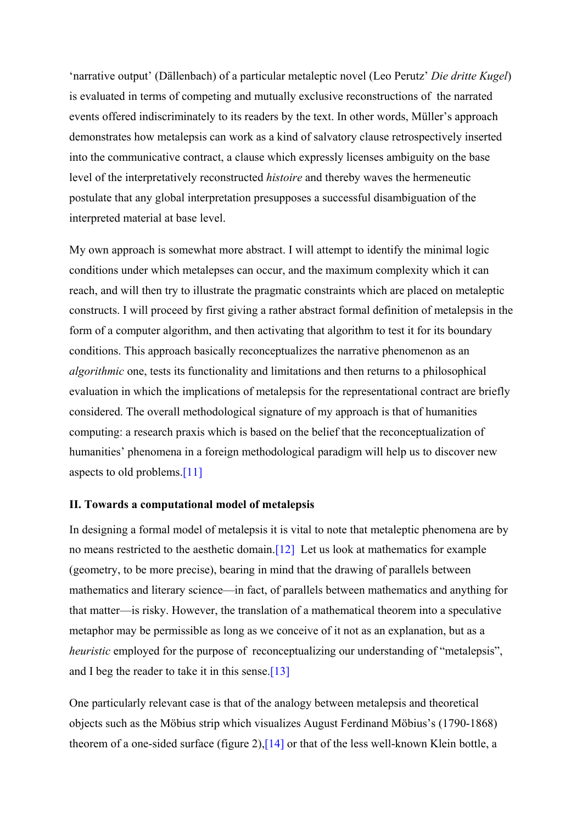'narrative output' (Dällenbach) of a particular metaleptic novel (Leo Perutz' *Die dritte Kugel*) is evaluated in terms of competing and mutually exclusive reconstructions of the narrated events offered indiscriminately to its readers by the text. In other words, Müller's approach demonstrates how metalepsis can work as a kind of salvatory clause retrospectively inserted into the communicative contract, a clause which expressly licenses ambiguity on the base level of the interpretatively reconstructed *histoire* and thereby waves the hermeneutic postulate that any global interpretation presupposes a successful disambiguation of the interpreted material at base level.

My own approach is somewhat more abstract. I will attempt to identify the minimal logic conditions under which metalepses can occur, and the maximum complexity which it can reach, and will then try to illustrate the pragmatic constraints which are placed on metaleptic constructs. I will proceed by first giving a rather abstract formal definition of metalepsis in the form of a computer algorithm, and then activating that algorithm to test it for its boundary conditions. This approach basically reconceptualizes the narrative phenomenon as an *algorithmic* one, tests its functionality and limitations and then returns to a philosophical evaluation in which the implications of metalepsis for the representational contract are briefly considered. The overall methodological signature of my approach is that of humanities computing: a research praxis which is based on the belief that the reconceptualization of humanities' phenomena in a foreign methodological paradigm will help us to discover new aspects to old problems.[[11\]](#page-19-10)

## **II. Towards a computational model of metalepsis**

In designing a formal model of metalepsis it is vital to note that metaleptic phenomena are by no means restricted to the aesthetic domain.[\[12\]](#page-19-11) Let us look at mathematics for example (geometry, to be more precise), bearing in mind that the drawing of parallels between mathematics and literary science—in fact, of parallels between mathematics and anything for that matter—is risky. However, the translation of a mathematical theorem into a speculative metaphor may be permissible as long as we conceive of it not as an explanation, but as a *heuristic* employed for the purpose of reconceptualizing our understanding of "metalepsis", and I beg the reader to take it in this sense.[\[13\]](#page-19-12)

One particularly relevant case is that of the analogy between metalepsis and theoretical objects such as the Möbius strip which visualizes August Ferdinand Möbius's (1790-1868) theorem of a one-sided surface (figure 2),[[14\]](#page-19-13) or that of the less well-known Klein bottle, a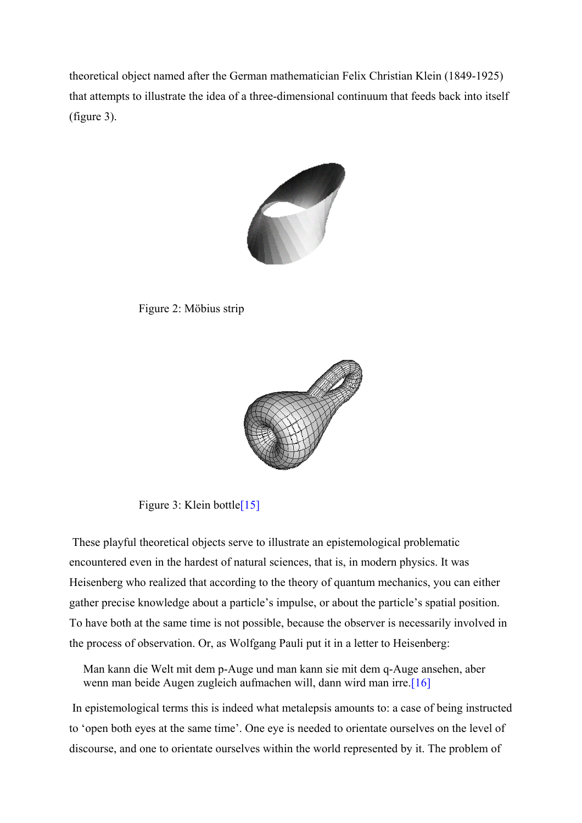theoretical object named after the German mathematician Felix Christian Klein (1849-1925) that attempts to illustrate the idea of a three-dimensional continuum that feeds back into itself (figure 3).



Figure 2: Möbius strip



Figure 3: Klein bottle<sup>[[15\]](#page-19-14)</sup>

 These playful theoretical objects serve to illustrate an epistemological problematic encountered even in the hardest of natural sciences, that is, in modern physics. It was Heisenberg who realized that according to the theory of quantum mechanics, you can either gather precise knowledge about a particle's impulse, or about the particle's spatial position. To have both at the same time is not possible, because the observer is necessarily involved in the process of observation. Or, as Wolfgang Pauli put it in a letter to Heisenberg:

Man kann die Welt mit dem p-Auge und man kann sie mit dem q-Auge ansehen, aber wenn man beide Augen zugleich aufmachen will, dann wird man irre.[[16\]](#page-19-15)

 In epistemological terms this is indeed what metalepsis amounts to: a case of being instructed to 'open both eyes at the same time'. One eye is needed to orientate ourselves on the level of discourse, and one to orientate ourselves within the world represented by it. The problem of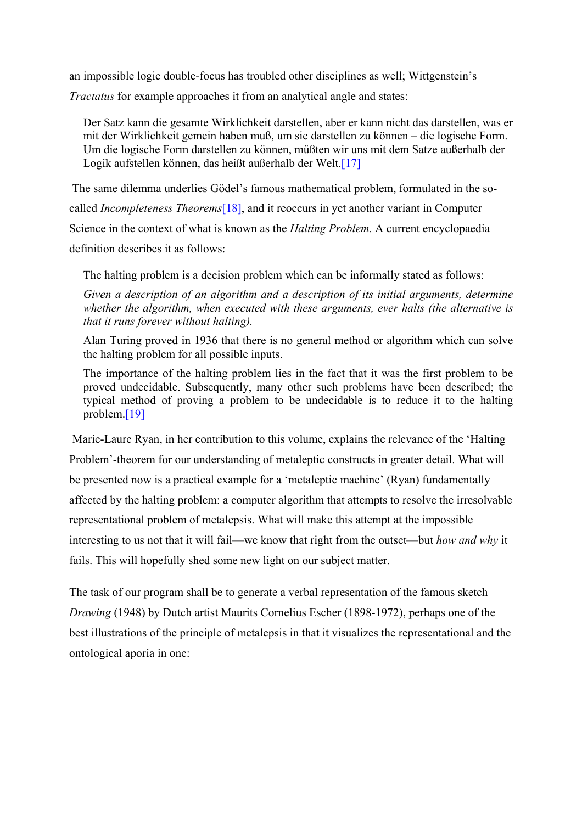an impossible logic double-focus has troubled other disciplines as well; Wittgenstein's

*Tractatus* for example approaches it from an analytical angle and states:

Der Satz kann die gesamte Wirklichkeit darstellen, aber er kann nicht das darstellen, was er mit der Wirklichkeit gemein haben muß, um sie darstellen zu können – die logische Form. Um die logische Form darstellen zu können, müßten wir uns mit dem Satze außerhalb der Logik aufstellen können, das heißt außerhalb der Welt.[[17\]](#page-19-16)

The same dilemma underlies Gödel's famous mathematical problem, formulated in the so-

called *Incompleteness Theorems*[\[18\]](#page-19-17), and it reoccurs in yet another variant in Computer

Science in the context of what is known as the *Halting Problem*. A current encyclopaedia

definition describes it as follows:

The halting problem is a decision problem which can be informally stated as follows:

*Given a description of an algorithm and a description of its initial arguments, determine whether the algorithm, when executed with these arguments, ever halts (the alternative is that it runs forever without halting).*

Alan Turing proved in 1936 that there is no general method or algorithm which can solve the halting problem for all possible inputs.

The importance of the halting problem lies in the fact that it was the first problem to be proved undecidable. Subsequently, many other such problems have been described; the typical method of proving a problem to be undecidable is to reduce it to the halting problem.[\[19\]](#page-19-18)

 Marie-Laure Ryan, in her contribution to this volume, explains the relevance of the 'Halting Problem'-theorem for our understanding of metaleptic constructs in greater detail. What will be presented now is a practical example for a 'metaleptic machine' (Ryan) fundamentally affected by the halting problem: a computer algorithm that attempts to resolve the irresolvable representational problem of metalepsis. What will make this attempt at the impossible interesting to us not that it will fail—we know that right from the outset—but *how and why* it fails. This will hopefully shed some new light on our subject matter.

The task of our program shall be to generate a verbal representation of the famous sketch *Drawing* (1948) by Dutch artist Maurits Cornelius Escher (1898-1972), perhaps one of the best illustrations of the principle of metalepsis in that it visualizes the representational and the ontological aporia in one: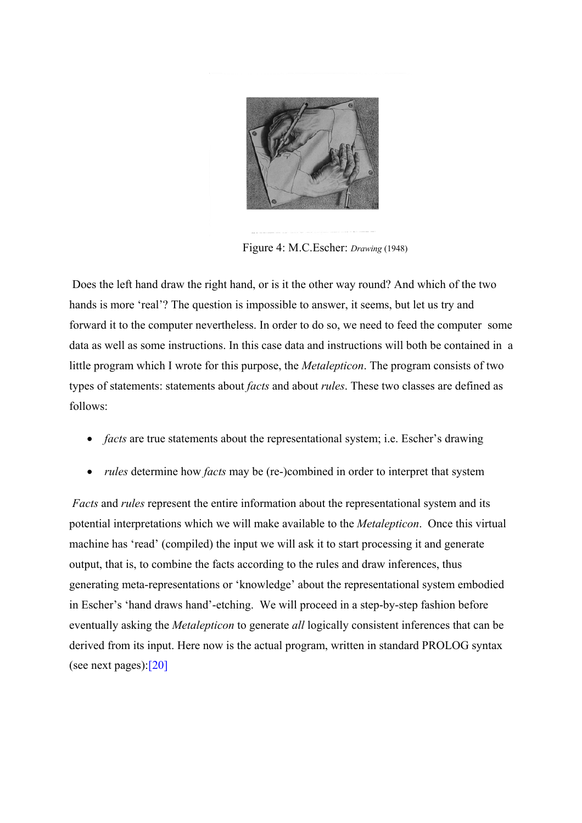

Figure 4: M.C.Escher: *Drawing* (1948)

 Does the left hand draw the right hand, or is it the other way round? And which of the two hands is more 'real'? The question is impossible to answer, it seems, but let us try and forward it to the computer nevertheless. In order to do so, we need to feed the computer some data as well as some instructions. In this case data and instructions will both be contained in a little program which I wrote for this purpose, the *Metalepticon*. The program consists of two types of statements: statements about *facts* and about *rules*. These two classes are defined as follows:

- *facts* are true statements about the representational system; i.e. Escher's drawing
- *rules* determine how *facts* may be (re-)combined in order to interpret that system

*Facts* and *rules* represent the entire information about the representational system and its potential interpretations which we will make available to the *Metalepticon*. Once this virtual machine has 'read' (compiled) the input we will ask it to start processing it and generate output, that is, to combine the facts according to the rules and draw inferences, thus generating meta-representations or 'knowledge' about the representational system embodied in Escher's 'hand draws hand'-etching. We will proceed in a step-by-step fashion before eventually asking the *Metalepticon* to generate *all* logically consistent inferences that can be derived from its input. Here now is the actual program, written in standard PROLOG syntax (see next pages):[\[20\]](#page-19-19)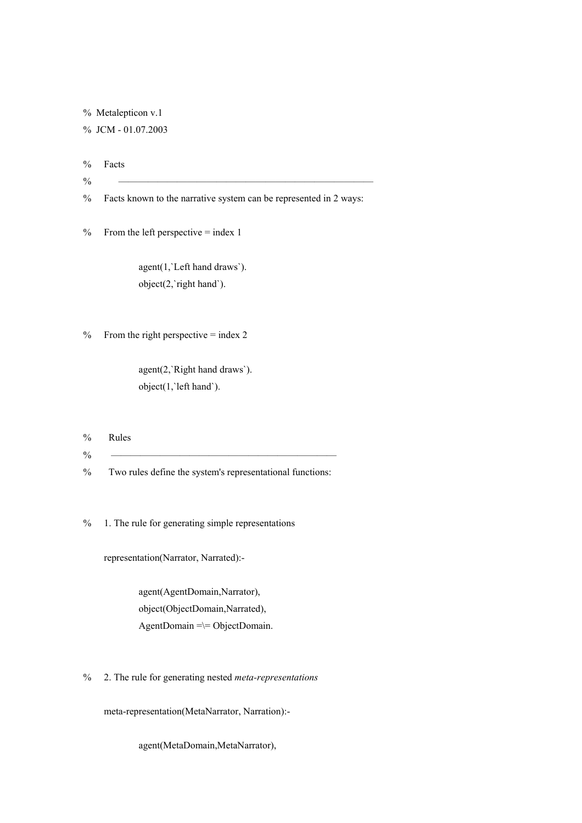% Metalepticon v.1

% JCM - 01.07.2003

% Facts

- $\%$
- % Facts known to the narrative system can be represented in 2 ways:

 $%$  From the left perspective = index 1

 agent(1,`Left hand draws`). object(2,`right hand`).

 $%$  From the right perspective = index 2

 agent(2,`Right hand draws`). object(1,`left hand`).

- % Rules
- % ———————————————————————
- % Two rules define the system's representational functions:

% 1. The rule for generating simple representations

representation(Narrator, Narrated):-

 agent(AgentDomain,Narrator), object(ObjectDomain,Narrated), AgentDomain  $=\equiv$  ObjectDomain.

% 2. The rule for generating nested *meta-representations*

meta-representation(MetaNarrator, Narration):-

agent(MetaDomain,MetaNarrator),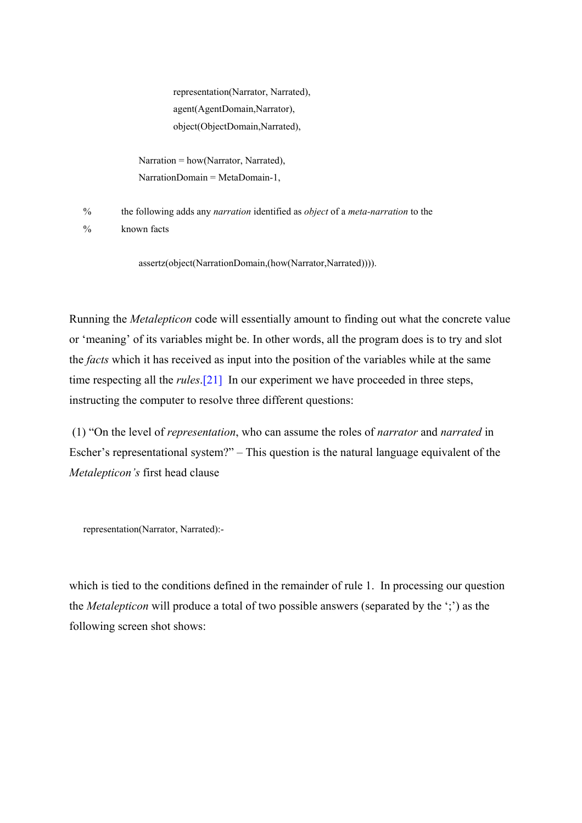representation(Narrator, Narrated), agent(AgentDomain,Narrator), object(ObjectDomain,Narrated),

 Narration = how(Narrator, Narrated), NarrationDomain = MetaDomain-1,

% the following adds any *narration* identified as *object* of a *meta-narration* to the

% known facts

assertz(object(NarrationDomain,(how(Narrator,Narrated)))).

Running the *Metalepticon* code will essentially amount to finding out what the concrete value or 'meaning' of its variables might be. In other words, all the program does is to try and slot the *facts* which it has received as input into the position of the variables while at the same time respecting all the *rules*.[\[21\]](#page-19-20) In our experiment we have proceeded in three steps, instructing the computer to resolve three different questions:

 (1) "On the level of *representation*, who can assume the roles of *narrator* and *narrated* in Escher's representational system?" – This question is the natural language equivalent of the *Metalepticon's* first head clause

representation(Narrator, Narrated):-

which is tied to the conditions defined in the remainder of rule 1. In processing our question the *Metalepticon* will produce a total of two possible answers (separated by the ';') as the following screen shot shows: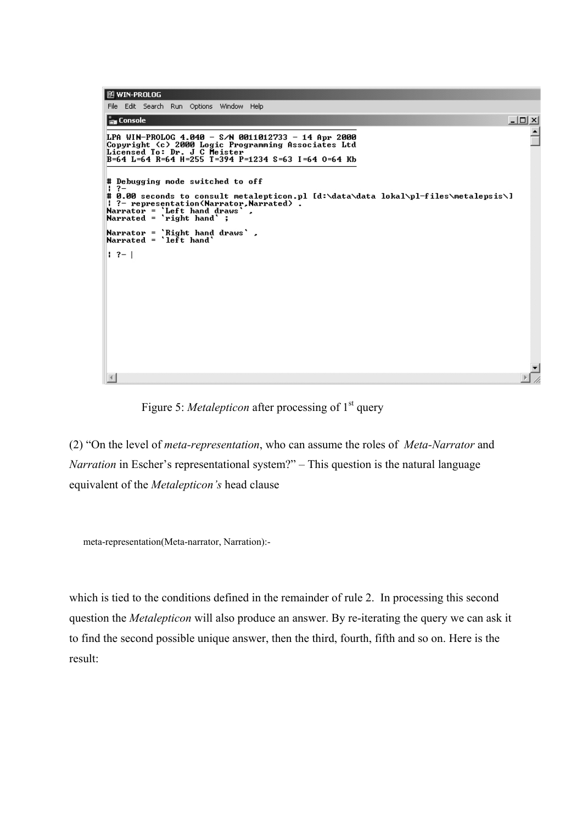```
E WIN-PROLOG
 File Edit Search Run Options Window Help
Ex Console
                                                                                                                                                                                        -|\Box| \times|
                                                                                                                                                                                                   \hat{=}LPA WIN-PROLOG 4.040 - S/N 0011012733 - 14 Apr 2000<br>Copyright (c) 2000 Logic Programming Associates Ltd<br>Licensed To: Dr. J C Meister<br>B=64 L=64 R=64 H=255 T=394 P=1234 S=63 I=64 O=64 Kb
# Debugging mode switched to off
|| ?-<br>|# 0.00 seconds to consult metalepticon.pl [d:\data\data lokal\pl-files\metalepsis\]<br>| ?- representation(Narrator,Narrated) .<br>|Narrator = `Left hand draws` .<br>|Narrated = `right hand` ;
Narrator = `Right hand draws` ,<br>Narrated = `left hand`
 1.7 - 1\left| 4 \right|
```
Figure 5: *Metalepticon* after processing of 1<sup>st</sup> query

(2) "On the level of *meta-representation*, who can assume the roles of *Meta-Narrator* and *Narration* in Escher's representational system?" – This question is the natural language equivalent of the *Metalepticon's* head clause

meta-representation(Meta-narrator, Narration):-

which is tied to the conditions defined in the remainder of rule 2. In processing this second question the *Metalepticon* will also produce an answer. By re-iterating the query we can ask it to find the second possible unique answer, then the third, fourth, fifth and so on. Here is the result: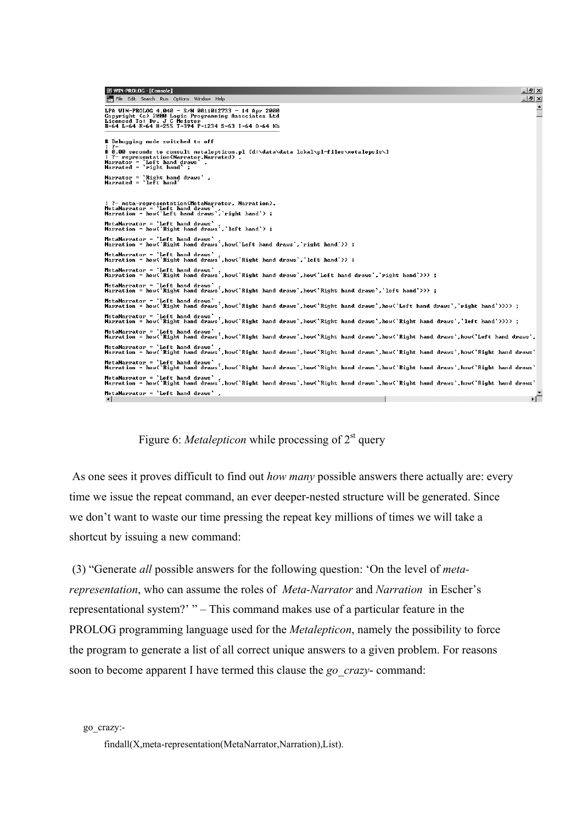```
图 WIN-PROLOG - [Console]
                                                                                                                                                                                               -|E| \timesFile Edit Search Run Options Window Help
                                                                                                                                                                                               -|<sub>z</sub>| \times |\overline{\phantom{a}}LPA WIN-PROLOG 4.040 - S/N 0011012733 - 14 Apr 2000<br>Copyright (c) 2000 Logic Programming Associates Ltd<br>Licensed To: Dr. J C Meister<br>B=64 L=64 R=64 H=255 T=394 P=1234 S=63 I=64 O=64 Kb
# Debugging mode switched to off
| ?-<br># 0.00 seconds to consult metalepticon.pl [d:\data\data lokal\pl-files\metalepsis\]<br>| ?- representation(Narrator,Narrated) .<br>Narrator = `Left hand draws` ,<br>Narrated = `right hand` ;
Narrator = `Right hand draws` ,<br>Narrated = `left hand`
: ?- meta-representation(MetaNarrator, Narration).<br>MetaNarrator = 'Left hand draws' ,<br>Narration = how('Left hand draws','right hand') ;
MetaNarrator = `Left hand draws` .<br>Narration = how(`Right hand draws`,`left hand`) ;
MetaNarrator = `Left hand draws` ,<br>Narration = how(`Right hand draws` ,how(`Left hand draws`,`right hand`>) ;
MetaNarrator = 'Left hand draws' .<br>Narration = how('Right hand draws' how('Right hand draws','left hand'>> ;
MetaNarrator = `Left hand draws` .<br>Narration = how(`Right hand draws`.how(`Right hand draws`.how(`Left hand draws`.`right hand`>>> ;
MetaNarrator = 'Left hand draws' .<br>Narration = how(`Right hand draws`,how(`Right hand draws`,how(`Right hand draws`,`left hand`>>> ;
MetaNarrator = `Left hand draws` .<br>Narration = how(`Right hand draws`,how(`Right hand draws`,how(`Right hand draws`,how(`Left hand draws`,`right hand`>>>> ;
MetaNarrator = `Left hand draws` ,<br>Narration = how(`Right hand draws`,how(`Right hand draws`,how(`Right hand draws`,how(`Right hand draws`,`left hand`>>>> ;
MetaNarrator = `Left hand draws` ,<br>Narration = how(`Right hand draws`,how(`Right hand draws`,how(`Right hand draws`,how(`Right hand draws`,how(`Left hand draws`,
MetaNarrator = `Left hand draws` ,<br>Narration = how(`Right hand draws`,how(`Right hand draws`,how(`Right hand draws`,how(`Right hand draws`,how(`Right hand draws`
MetaNarrator = `Left hand draws` ,<br>Narration = how(`Right hand draws`,how(`Right hand draws`,how(`Right hand draws`,how(`Right hand draws`,how(`Right hand draws`
MetaNarrator = `Left hand draws` ,<br>Narration = how(`Right hand draws`,how(`Right hand draws`,how(`Right hand draws`,how(`Right hand draws`,how(`Right hand draws`
MetaNarrator = 'Left hand draws',
                                                                                                                                                                                                    ъË
```
Figure 6: *Metalepticon* while processing of  $2<sup>st</sup>$  query

 As one sees it proves difficult to find out *how many* possible answers there actually are: every time we issue the repeat command, an ever deeper-nested structure will be generated. Since we don't want to waste our time pressing the repeat key millions of times we will take a shortcut by issuing a new command:

 (3) "Generate *all* possible answers for the following question: 'On the level of *metarepresentation*, who can assume the roles of *Meta-Narrator* and *Narration* in Escher's representational system?' " – This command makes use of a particular feature in the PROLOG programming language used for the *Metalepticon*, namely the possibility to force the program to generate a list of all correct unique answers to a given problem. For reasons soon to become apparent I have termed this clause the *go\_crazy*- command:

go\_crazy:-

findall(X,meta-representation(MetaNarrator,Narration),List).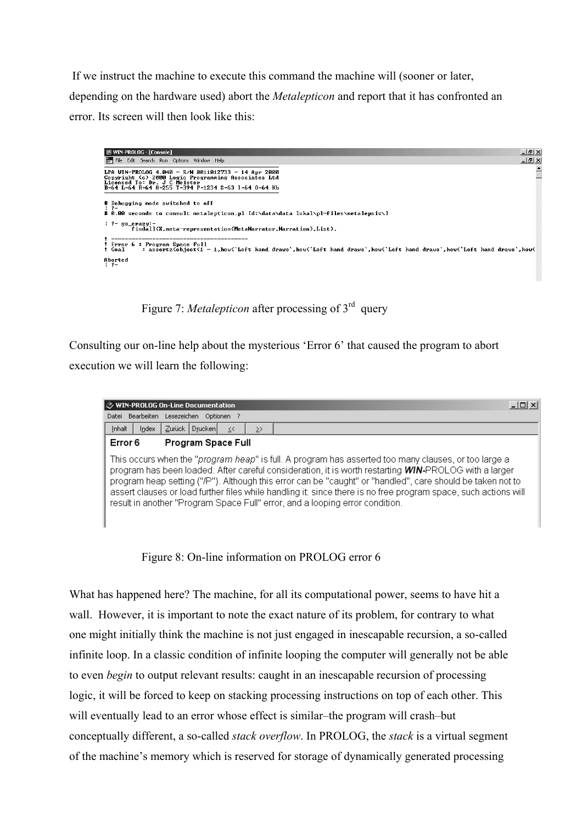If we instruct the machine to execute this command the machine will (sooner or later, depending on the hardware used) abort the *Metalepticon* and report that it has confronted an error. Its screen will then look like this:



Figure 7: *Metalepticon* after processing of 3<sup>rd</sup> query

Consulting our on-line help about the mysterious 'Error 6' that caused the program to abort execution we will learn the following:



Figure 8: On-line information on PROLOG error 6

What has happened here? The machine, for all its computational power, seems to have hit a wall. However, it is important to note the exact nature of its problem, for contrary to what one might initially think the machine is not just engaged in inescapable recursion, a so-called infinite loop. In a classic condition of infinite looping the computer will generally not be able to even *begin* to output relevant results: caught in an inescapable recursion of processing logic, it will be forced to keep on stacking processing instructions on top of each other. This will eventually lead to an error whose effect is similar–the program will crash–but conceptually different, a so-called *stack overflow*. In PROLOG, the *stack* is a virtual segment of the machine's memory which is reserved for storage of dynamically generated processing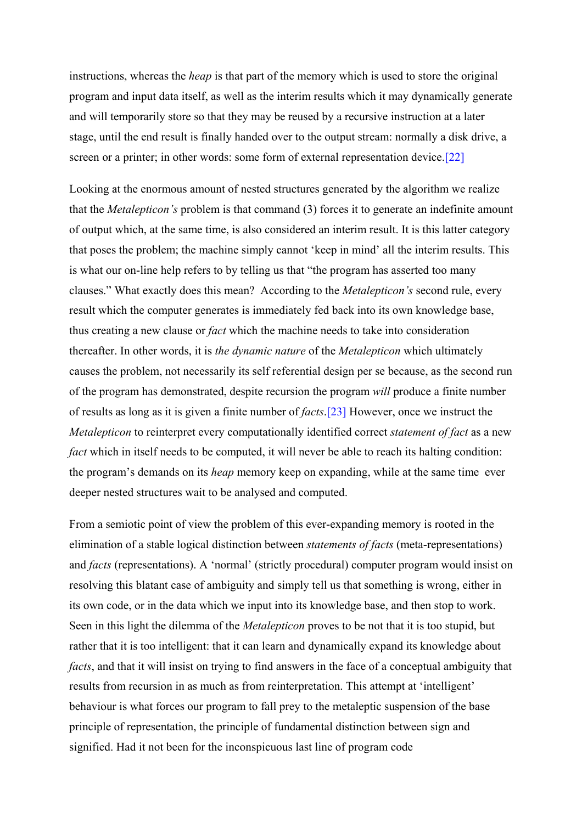instructions, whereas the *heap* is that part of the memory which is used to store the original program and input data itself, as well as the interim results which it may dynamically generate and will temporarily store so that they may be reused by a recursive instruction at a later stage, until the end result is finally handed over to the output stream: normally a disk drive, a screen or a printer; in other words: some form of external representation device.[\[22\]](#page-19-16)

Looking at the enormous amount of nested structures generated by the algorithm we realize that the *Metalepticon's* problem is that command (3) forces it to generate an indefinite amount of output which, at the same time, is also considered an interim result. It is this latter category that poses the problem; the machine simply cannot 'keep in mind' all the interim results. This is what our on-line help refers to by telling us that "the program has asserted too many clauses." What exactly does this mean? According to the *Metalepticon's* second rule, every result which the computer generates is immediately fed back into its own knowledge base, thus creating a new clause or *fact* which the machine needs to take into consideration thereafter. In other words, it is *the dynamic nature* of the *Metalepticon* which ultimately causes the problem, not necessarily its self referential design per se because, as the second run of the program has demonstrated, despite recursion the program *will* produce a finite number of results as long as it is given a finite number of *facts*.[\[23\]](#page-19-21) However, once we instruct the *Metalepticon* to reinterpret every computationally identified correct *statement of fact* as a new *fact* which in itself needs to be computed, it will never be able to reach its halting condition: the program's demands on its *heap* memory keep on expanding, while at the same time ever deeper nested structures wait to be analysed and computed.

From a semiotic point of view the problem of this ever-expanding memory is rooted in the elimination of a stable logical distinction between *statements of facts* (meta-representations) and *facts* (representations). A 'normal' (strictly procedural) computer program would insist on resolving this blatant case of ambiguity and simply tell us that something is wrong, either in its own code, or in the data which we input into its knowledge base, and then stop to work. Seen in this light the dilemma of the *Metalepticon* proves to be not that it is too stupid, but rather that it is too intelligent: that it can learn and dynamically expand its knowledge about *facts*, and that it will insist on trying to find answers in the face of a conceptual ambiguity that results from recursion in as much as from reinterpretation. This attempt at 'intelligent' behaviour is what forces our program to fall prey to the metaleptic suspension of the base principle of representation, the principle of fundamental distinction between sign and signified. Had it not been for the inconspicuous last line of program code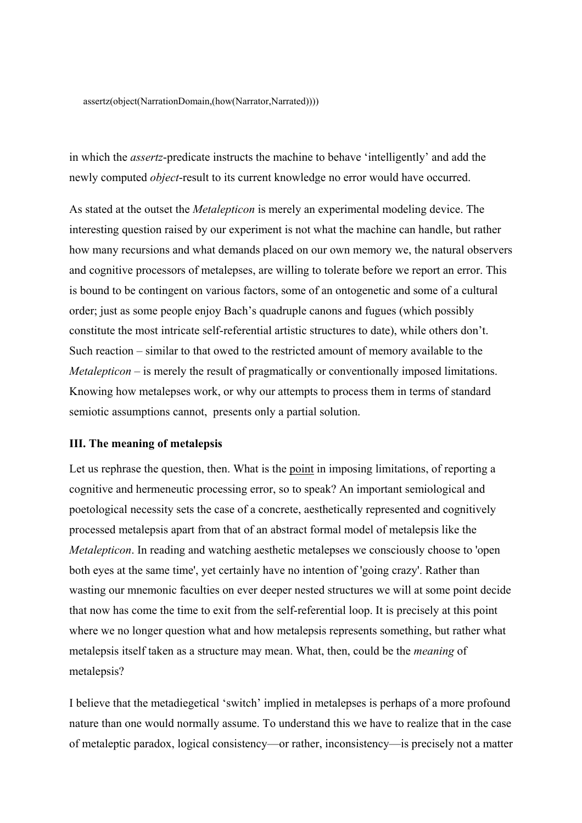assertz(object(NarrationDomain,(how(Narrator,Narrated))))

in which the *assertz*-predicate instructs the machine to behave 'intelligently' and add the newly computed *object*-result to its current knowledge no error would have occurred.

As stated at the outset the *Metalepticon* is merely an experimental modeling device. The interesting question raised by our experiment is not what the machine can handle, but rather how many recursions and what demands placed on our own memory we, the natural observers and cognitive processors of metalepses, are willing to tolerate before we report an error. This is bound to be contingent on various factors, some of an ontogenetic and some of a cultural order; just as some people enjoy Bach's quadruple canons and fugues (which possibly constitute the most intricate self-referential artistic structures to date), while others don't. Such reaction – similar to that owed to the restricted amount of memory available to the *Metalepticon* – is merely the result of pragmatically or conventionally imposed limitations. Knowing how metalepses work, or why our attempts to process them in terms of standard semiotic assumptions cannot, presents only a partial solution.

## **III. The meaning of metalepsis**

Let us rephrase the question, then. What is the point in imposing limitations, of reporting a cognitive and hermeneutic processing error, so to speak? An important semiological and poetological necessity sets the case of a concrete, aesthetically represented and cognitively processed metalepsis apart from that of an abstract formal model of metalepsis like the *Metalepticon*. In reading and watching aesthetic metalepses we consciously choose to 'open both eyes at the same time', yet certainly have no intention of 'going crazy'. Rather than wasting our mnemonic faculties on ever deeper nested structures we will at some point decide that now has come the time to exit from the self-referential loop. It is precisely at this point where we no longer question what and how metalepsis represents something, but rather what metalepsis itself taken as a structure may mean. What, then, could be the *meaning* of metalepsis?

I believe that the metadiegetical 'switch' implied in metalepses is perhaps of a more profound nature than one would normally assume. To understand this we have to realize that in the case of metaleptic paradox, logical consistency—or rather, inconsistency—is precisely not a matter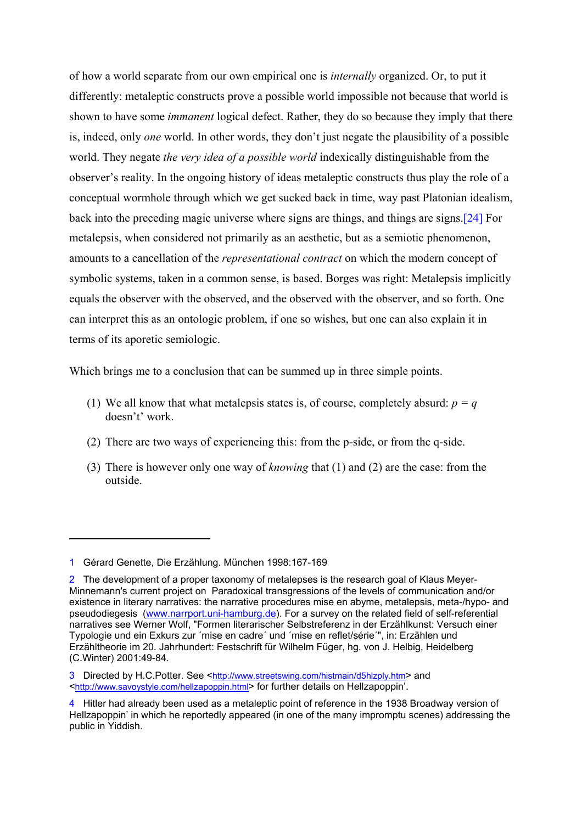of how a world separate from our own empirical one is *internally* organized. Or, to put it differently: metaleptic constructs prove a possible world impossible not because that world is shown to have some *immanent* logical defect. Rather, they do so because they imply that there is, indeed, only *one* world. In other words, they don't just negate the plausibility of a possible world. They negate *the very idea of a possible world* indexically distinguishable from the observer's reality. In the ongoing history of ideas metaleptic constructs thus play the role of a conceptual wormhole through which we get sucked back in time, way past Platonian idealism, back into the preceding magic universe where signs are things, and things are signs.[24] For metalepsis, when considered not primarily as an aesthetic, but as a semiotic phenom[eno](#page-19-22)n, amounts to a cancellation of the *representational contract* on which the modern concept of symbolic systems, taken in a common sense, is based. Borges was right: Metalepsis implicitly equals the observer with the observed, and the observed with the observer, and so forth. One can interpret this as an ontologic problem, if one so wishes, but one can also explain it in terms of its aporetic semiologic.

Which brings me to a conclusion that can be summed up in three simple points.

- (1) We all know that what metalepsis states is, of course, completely absurd:  $p = q$ doesn't' work.
- (2) There are two ways of experiencing this: from the p-side, or from the q-side.
- (3) There is however only one way of *knowing* that (1) and (2) are the case: from the outside.

<u>.</u>

<sup>1</sup> Gérard Genette, Die Erzählung. München 1998:167-169

<sup>2</sup> The development of a proper taxonomy of metalepses is the research goal of Klaus Meyer-Minnemann's current project on Paradoxical transgressions of the levels of communication and/or existence in literary narratives: the narrative procedures mise en abyme, metalepsis, meta-/hypo- and pseudodiegesis (www.narrport.uni-hamburg.de). For a survey on the related field of self-referential narratives see Werner Wolf, "Formen literarischer Selbstreferenz in der Erzählkunst: Versuch einer Typologie und ein Exkurs zur ´mise en cadre´ und ´mise en reflet/série´", in: Erzählen und Erzähltheorie im 20. Jahrhundert: Festschrift für Wilhelm Füger, hg. von J. Helbig, Heidelberg (C.Winter) 2001:49-84.

<sup>3</sup> Directed by H.C.Potter. See [<http://www.streetswing.com/histmain/d5hlzply.htm>](http://www.streetswing.com/histmain/d5hlzply.htm) and <<http://www.savoystyle.com/hellzapoppin.html>> for further details on Hellzapoppin'.

<sup>4</sup> Hitler had already been used as a metaleptic point of reference in the 1938 Broadway version of Hellzapoppin' in which he reportedly appeared (in one of the many impromptu scenes) addressing the public in Yiddish.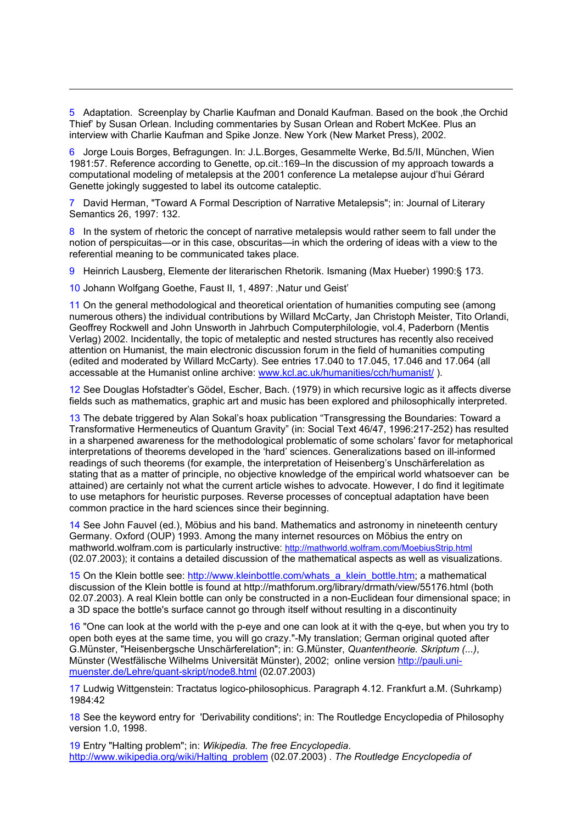5 Adaptation. Screenplay by Charlie Kaufman and Donald Kaufman. Based on the book 'the Orchid Thief' by Susan Orlean. Including commentaries by Susan Orlean and Robert McKee. Plus an interview with Charlie Kaufman and Spike Jonze. New York (New Market Press), 2002.

6 Jorge Louis Borges, Befragungen. In: J.L.Borges, Gesammelte Werke, Bd.5/II, München, Wien 1981:57. Reference according to Genette, op.cit.:169–In the discussion of my approach towards a computational modeling of metalepsis at the 2001 conference La metalepse aujour d'hui Gérard Genette jokingly suggested to label its outcome cataleptic.

7 David Herman, "Toward A Formal Description of Narrative Metalepsis"; in: Journal of Literary Semantics 26, 1997: 132.

8 In the system of rhetoric the concept of narrative metalepsis would rather seem to fall under the notion of perspicuitas—or in this case, obscuritas—in which the ordering of ideas with a view to the referential meaning to be communicated takes place.

9 Heinrich Lausberg, Elemente der literarischen Rhetorik. Ismaning (Max Hueber) 1990:§ 173.

10 Johann Wolfgang Goethe, Faust II, 1, 4897: ,Natur und Geist'

1

11 On the general methodological and theoretical orientation of humanities computing see (among numerous others) the individual contributions by Willard McCarty, Jan Christoph Meister, Tito Orlandi, Geoffrey Rockwell and John Unsworth in Jahrbuch Computerphilologie, vol.4, Paderborn (Mentis Verlag) 2002. Incidentally, the topic of metaleptic and nested structures has recently also received attention on Humanist, the main electronic discussion forum in the field of humanities computing (edited and moderated by Willard McCarty). See entries 17.040 to 17.045, 17.046 and 17.064 (all accessable at the Humanist online archive: www.kcl.ac.uk/humanities/cch/humanist/ ).

12 See Douglas Hofstadter's Gödel, Escher, Bach. (1979) in which recursive logic as it affects diverse fields such as mathematics, graphic art and music has been explored and philosophically interpreted.

13 The debate triggered by Alan Sokal's hoax publication "Transgressing the Boundaries: Toward a Transformative Hermeneutics of Quantum Gravity" (in: Social Text 46/47, 1996:217-252) has resulted in a sharpened awareness for the methodological problematic of some scholars' favor for metaphorical interpretations of theorems developed in the 'hard' sciences. Generalizations based on ill-informed readings of such theorems (for example, the interpretation of Heisenberg's Unschärferelation as stating that as a matter of principle, no objective knowledge of the empirical world whatsoever can be attained) are certainly not what the current article wishes to advocate. However, I do find it legitimate to use metaphors for heuristic purposes. Reverse processes of conceptual adaptation have been common practice in the hard sciences since their beginning.

14 See John Fauvel (ed.), Möbius and his band. Mathematics and astronomy in nineteenth century Germany. Oxford (OUP) 1993. Among the many internet resources on Möbius the entry on mathworld.wolfram.com is particularly instructive:<http://mathworld.wolfram.com/MoebiusStrip.html> (02.07.2003); it contains a detailed discussion of the mathematical aspects as well as visualizations.

15 On the Klein bottle see: http://www.kleinbottle.com/whats\_a\_klein\_bottle.htm; a mathematical discussion of the Klein bottle is found at http://mathforum.org/library/drmath/view/55176.html (both 02.07.2003). A real Klein bottle can only be constructed in a non-Euclidean four dimensional space; in a 3D space the bottle's surface cannot go through itself without resulting in a discontinuity

16 "One can look at the world with the p-eye and one can look at it with the q-eye, but when you try to open both eyes at the same time, you will go crazy."-My translation; German original quoted after G.Münster, "Heisenbergsche Unschärferelation"; in: G.Münster, *Quantentheorie. Skriptum (...)*, Münster (Westfälische Wilhelms Universität Münster), 2002; online version http://pauli.unimuenster.de/Lehre/quant-skript/node8.html (02.07.2003)

17 Ludwig Wittgenstein: Tractatus logico-philosophicus. Paragraph 4.12. Frankfurt a.M. (Suhrkamp) 1984:42

18 See the keyword entry for 'Derivability conditions'; in: The Routledge Encyclopedia of Philosophy version 1.0, 1998.

19 Entry "Halting problem"; in: *Wikipedia. The free Encyclopedia*. http://www.wikipedia.org/wiki/Halting\_problem (02.07.2003) . *The Routledge Encyclopedia of*